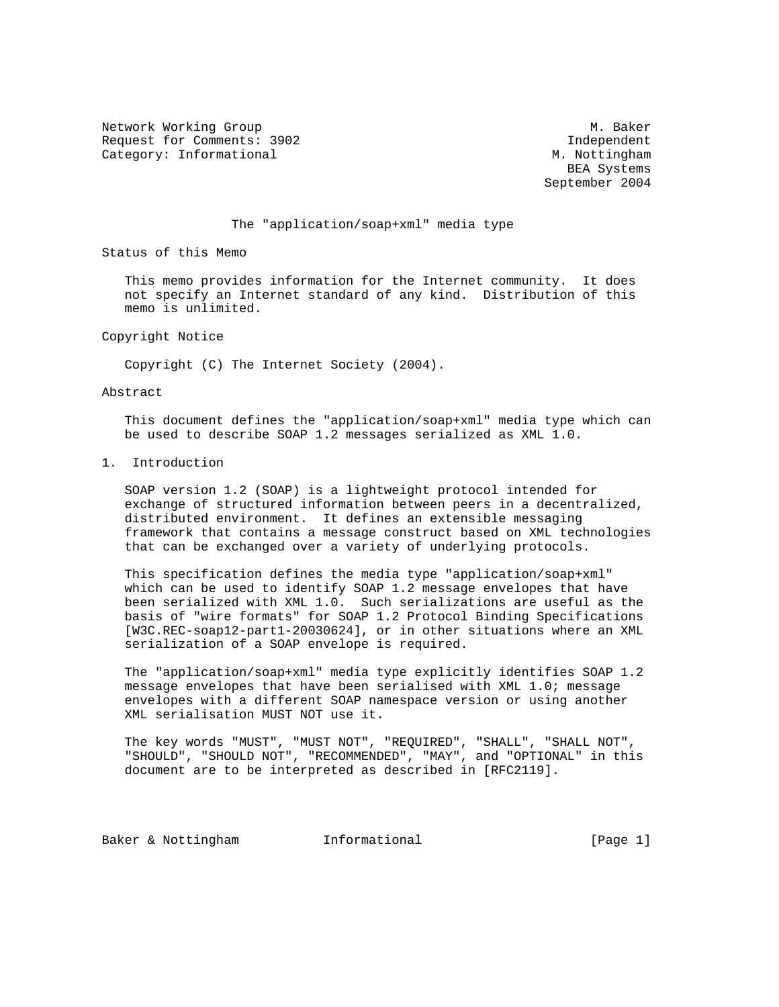Network Working Group Methods and Muslim Muslim Muslim Muslim Muslim Muslim Muslim Muslim Muslim Muslim Muslim Request for Comments: 3902 and the comments of the comments of the control of the control of the control of the control of the control of the control of the control of the control of the control of the control of the contr Category: Informational M. Nottingham

 BEA Systems September 2004

## The "application/soap+xml" media type

Status of this Memo

 This memo provides information for the Internet community. It does not specify an Internet standard of any kind. Distribution of this memo is unlimited.

Copyright Notice

Copyright (C) The Internet Society (2004).

## Abstract

 This document defines the "application/soap+xml" media type which can be used to describe SOAP 1.2 messages serialized as XML 1.0.

1. Introduction

 SOAP version 1.2 (SOAP) is a lightweight protocol intended for exchange of structured information between peers in a decentralized, distributed environment. It defines an extensible messaging framework that contains a message construct based on XML technologies that can be exchanged over a variety of underlying protocols.

 This specification defines the media type "application/soap+xml" which can be used to identify SOAP 1.2 message envelopes that have been serialized with XML 1.0. Such serializations are useful as the basis of "wire formats" for SOAP 1.2 Protocol Binding Specifications [W3C.REC-soap12-part1-20030624], or in other situations where an XML serialization of a SOAP envelope is required.

 The "application/soap+xml" media type explicitly identifies SOAP 1.2 message envelopes that have been serialised with XML 1.0; message envelopes with a different SOAP namespace version or using another XML serialisation MUST NOT use it.

 The key words "MUST", "MUST NOT", "REQUIRED", "SHALL", "SHALL NOT", "SHOULD", "SHOULD NOT", "RECOMMENDED", "MAY", and "OPTIONAL" in this document are to be interpreted as described in [RFC2119].

Baker & Nottingham 1nformational [Page 1]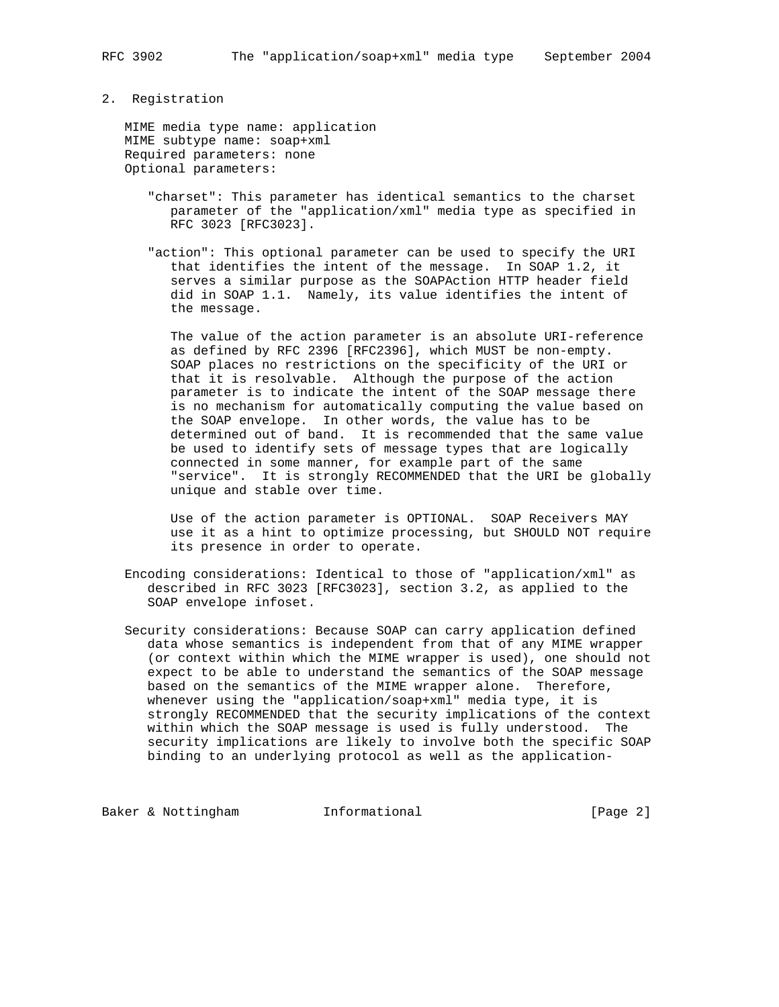## 2. Registration

 MIME media type name: application MIME subtype name: soap+xml Required parameters: none Optional parameters:

- "charset": This parameter has identical semantics to the charset parameter of the "application/xml" media type as specified in RFC 3023 [RFC3023].
- "action": This optional parameter can be used to specify the URI that identifies the intent of the message. In SOAP 1.2, it serves a similar purpose as the SOAPAction HTTP header field did in SOAP 1.1. Namely, its value identifies the intent of the message.

 The value of the action parameter is an absolute URI-reference as defined by RFC 2396 [RFC2396], which MUST be non-empty. SOAP places no restrictions on the specificity of the URI or that it is resolvable. Although the purpose of the action parameter is to indicate the intent of the SOAP message there is no mechanism for automatically computing the value based on the SOAP envelope. In other words, the value has to be determined out of band. It is recommended that the same value be used to identify sets of message types that are logically connected in some manner, for example part of the same "service". It is strongly RECOMMENDED that the URI be globally unique and stable over time.

 Use of the action parameter is OPTIONAL. SOAP Receivers MAY use it as a hint to optimize processing, but SHOULD NOT require its presence in order to operate.

- Encoding considerations: Identical to those of "application/xml" as described in RFC 3023 [RFC3023], section 3.2, as applied to the SOAP envelope infoset.
- Security considerations: Because SOAP can carry application defined data whose semantics is independent from that of any MIME wrapper (or context within which the MIME wrapper is used), one should not expect to be able to understand the semantics of the SOAP message based on the semantics of the MIME wrapper alone. Therefore, whenever using the "application/soap+xml" media type, it is strongly RECOMMENDED that the security implications of the context within which the SOAP message is used is fully understood. The security implications are likely to involve both the specific SOAP binding to an underlying protocol as well as the application-

Baker & Nottingham Informational [Page 2]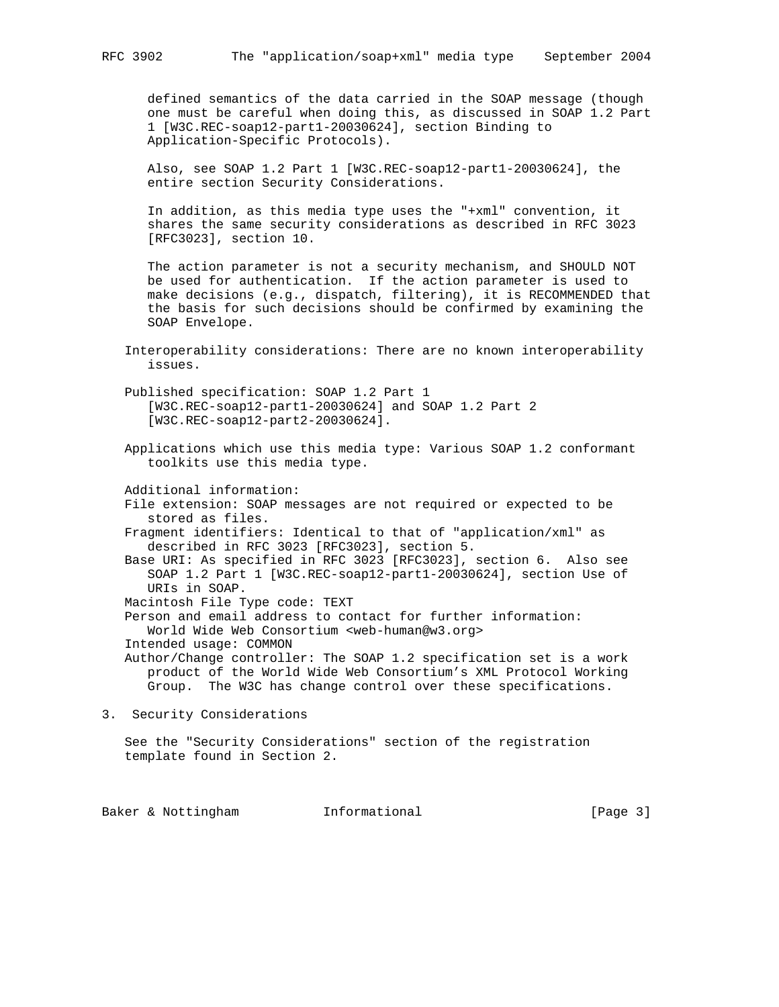defined semantics of the data carried in the SOAP message (though one must be careful when doing this, as discussed in SOAP 1.2 Part 1 [W3C.REC-soap12-part1-20030624], section Binding to Application-Specific Protocols).

 Also, see SOAP 1.2 Part 1 [W3C.REC-soap12-part1-20030624], the entire section Security Considerations.

 In addition, as this media type uses the "+xml" convention, it shares the same security considerations as described in RFC 3023 [RFC3023], section 10.

 The action parameter is not a security mechanism, and SHOULD NOT be used for authentication. If the action parameter is used to make decisions (e.g., dispatch, filtering), it is RECOMMENDED that the basis for such decisions should be confirmed by examining the SOAP Envelope.

 Interoperability considerations: There are no known interoperability issues.

 Published specification: SOAP 1.2 Part 1 [W3C.REC-soap12-part1-20030624] and SOAP 1.2 Part 2 [W3C.REC-soap12-part2-20030624].

 Applications which use this media type: Various SOAP 1.2 conformant toolkits use this media type.

Additional information:

 File extension: SOAP messages are not required or expected to be stored as files.

 Fragment identifiers: Identical to that of "application/xml" as described in RFC 3023 [RFC3023], section 5.

 Base URI: As specified in RFC 3023 [RFC3023], section 6. Also see SOAP 1.2 Part 1 [W3C.REC-soap12-part1-20030624], section Use of URIs in SOAP.

Macintosh File Type code: TEXT

 Person and email address to contact for further information: World Wide Web Consortium <web-human@w3.org>

Intended usage: COMMON

 Author/Change controller: The SOAP 1.2 specification set is a work product of the World Wide Web Consortium's XML Protocol Working Group. The W3C has change control over these specifications.

3. Security Considerations

 See the "Security Considerations" section of the registration template found in Section 2.

Baker & Nottingham **Informational** [Page 3]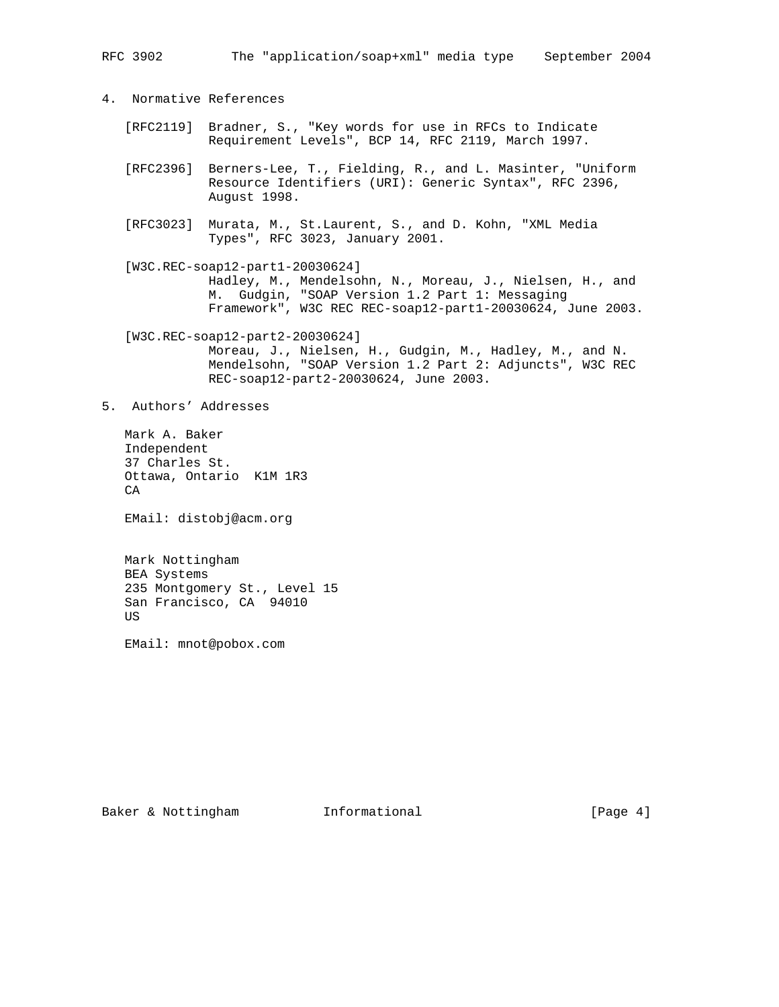- 4. Normative References
	- [RFC2119] Bradner, S., "Key words for use in RFCs to Indicate Requirement Levels", BCP 14, RFC 2119, March 1997.
	- [RFC2396] Berners-Lee, T., Fielding, R., and L. Masinter, "Uniform Resource Identifiers (URI): Generic Syntax", RFC 2396, August 1998.
	- [RFC3023] Murata, M., St.Laurent, S., and D. Kohn, "XML Media Types", RFC 3023, January 2001.
	- [W3C.REC-soap12-part1-20030624] Hadley, M., Mendelsohn, N., Moreau, J., Nielsen, H., and M. Gudgin, "SOAP Version 1.2 Part 1: Messaging Framework", W3C REC REC-soap12-part1-20030624, June 2003.

 [W3C.REC-soap12-part2-20030624] Moreau, J., Nielsen, H., Gudgin, M., Hadley, M., and N. Mendelsohn, "SOAP Version 1.2 Part 2: Adjuncts", W3C REC REC-soap12-part2-20030624, June 2003.

5. Authors' Addresses

 Mark A. Baker Independent 37 Charles St. Ottawa, Ontario K1M 1R3 CA

EMail: distobj@acm.org

 Mark Nottingham BEA Systems 235 Montgomery St., Level 15 San Francisco, CA 94010 US

EMail: mnot@pobox.com